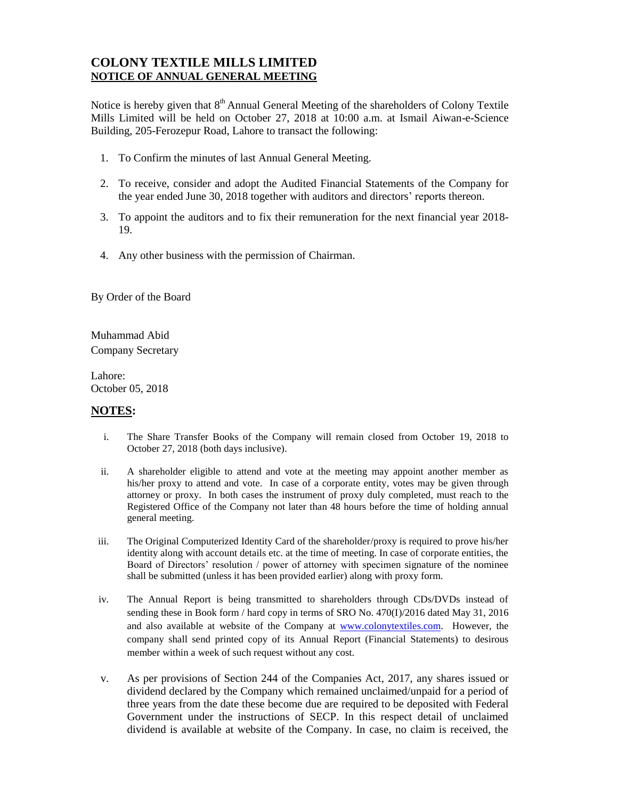## **COLONY TEXTILE MILLS LIMITED NOTICE OF ANNUAL GENERAL MEETING**

Notice is hereby given that 8<sup>th</sup> Annual General Meeting of the shareholders of Colony Textile Mills Limited will be held on October 27, 2018 at 10:00 a.m. at Ismail Aiwan-e-Science Building, 205-Ferozepur Road, Lahore to transact the following:

- 1. To Confirm the minutes of last Annual General Meeting.
- 2. To receive, consider and adopt the Audited Financial Statements of the Company for the year ended June 30, 2018 together with auditors and directors' reports thereon.
- 3. To appoint the auditors and to fix their remuneration for the next financial year 2018- 19.
- 4. Any other business with the permission of Chairman.

By Order of the Board

Muhammad Abid Company Secretary

Lahore: October 05, 2018

## **NOTES:**

- i. The Share Transfer Books of the Company will remain closed from October 19, 2018 to October 27, 2018 (both days inclusive).
- ii. A shareholder eligible to attend and vote at the meeting may appoint another member as his/her proxy to attend and vote. In case of a corporate entity, votes may be given through attorney or proxy. In both cases the instrument of proxy duly completed, must reach to the Registered Office of the Company not later than 48 hours before the time of holding annual general meeting.
- iii. The Original Computerized Identity Card of the shareholder/proxy is required to prove his/her identity along with account details etc. at the time of meeting. In case of corporate entities, the Board of Directors' resolution / power of attorney with specimen signature of the nominee shall be submitted (unless it has been provided earlier) along with proxy form.
- iv. The Annual Report is being transmitted to shareholders through CDs/DVDs instead of sending these in Book form / hard copy in terms of SRO No. 470(I)/2016 dated May 31, 2016 and also available at website of the Company at **www.colonytextiles.com**. However, the company shall send printed copy of its Annual Report (Financial Statements) to desirous member within a week of such request without any cost.
- v. As per provisions of Section 244 of the Companies Act, 2017, any shares issued or dividend declared by the Company which remained unclaimed/unpaid for a period of three years from the date these become due are required to be deposited with Federal Government under the instructions of SECP. In this respect detail of unclaimed dividend is available at website of the Company. In case, no claim is received, the